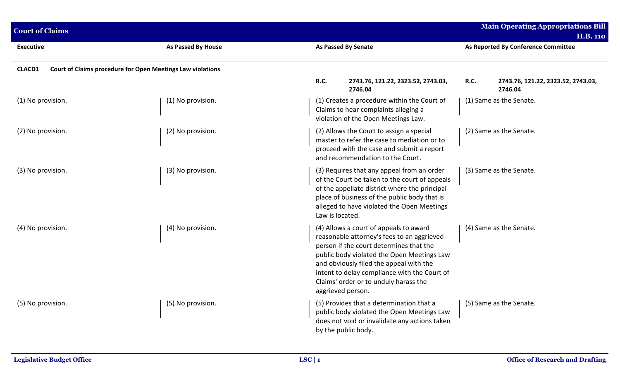| <b>Court of Claims</b> |                                                            |                                                                                                                                                                                                                                                                                                                                        | <b>Main Operating Appropriations Bill</b><br><b>H.B. 110</b> |  |  |
|------------------------|------------------------------------------------------------|----------------------------------------------------------------------------------------------------------------------------------------------------------------------------------------------------------------------------------------------------------------------------------------------------------------------------------------|--------------------------------------------------------------|--|--|
| <b>Executive</b>       | <b>As Passed By House</b>                                  | <b>As Passed By Senate</b>                                                                                                                                                                                                                                                                                                             | As Reported By Conference Committee                          |  |  |
| CLACD1                 | Court of Claims procedure for Open Meetings Law violations |                                                                                                                                                                                                                                                                                                                                        |                                                              |  |  |
|                        |                                                            | <b>R.C.</b><br>2743.76, 121.22, 2323.52, 2743.03,<br>2746.04                                                                                                                                                                                                                                                                           | <b>R.C.</b><br>2743.76, 121.22, 2323.52, 2743.03,<br>2746.04 |  |  |
| (1) No provision.      | (1) No provision.                                          | (1) Creates a procedure within the Court of<br>Claims to hear complaints alleging a<br>violation of the Open Meetings Law.                                                                                                                                                                                                             | (1) Same as the Senate.                                      |  |  |
| (2) No provision.      | (2) No provision.                                          | (2) Allows the Court to assign a special<br>master to refer the case to mediation or to<br>proceed with the case and submit a report<br>and recommendation to the Court.                                                                                                                                                               | (2) Same as the Senate.                                      |  |  |
| (3) No provision.      | (3) No provision.                                          | (3) Requires that any appeal from an order<br>of the Court be taken to the court of appeals<br>of the appellate district where the principal<br>place of business of the public body that is<br>alleged to have violated the Open Meetings<br>Law is located.                                                                          | (3) Same as the Senate.                                      |  |  |
| (4) No provision.      | (4) No provision.                                          | (4) Allows a court of appeals to award<br>reasonable attorney's fees to an aggrieved<br>person if the court determines that the<br>public body violated the Open Meetings Law<br>and obviously filed the appeal with the<br>intent to delay compliance with the Court of<br>Claims' order or to unduly harass the<br>aggrieved person. | (4) Same as the Senate.                                      |  |  |
| (5) No provision.      | (5) No provision.                                          | (5) Provides that a determination that a<br>public body violated the Open Meetings Law<br>does not void or invalidate any actions taken<br>by the public body.                                                                                                                                                                         | (5) Same as the Senate.                                      |  |  |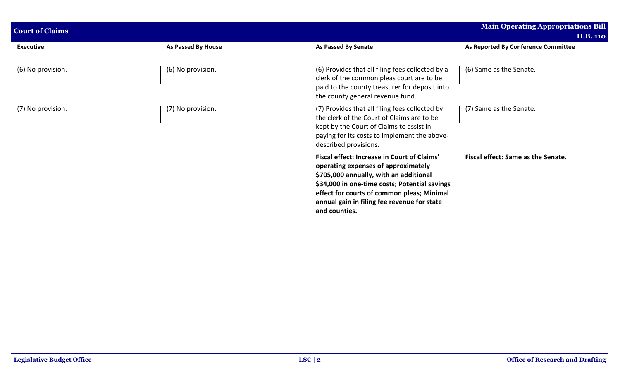| <b>Court of Claims</b> |                    | <b>Main Operating Appropriations Bill</b>                                                                                                                                                                                                                                                   |                                                        |  |
|------------------------|--------------------|---------------------------------------------------------------------------------------------------------------------------------------------------------------------------------------------------------------------------------------------------------------------------------------------|--------------------------------------------------------|--|
| <b>Executive</b>       | As Passed By House | <b>As Passed By Senate</b>                                                                                                                                                                                                                                                                  | <b>H.B. 110</b><br>As Reported By Conference Committee |  |
| (6) No provision.      | (6) No provision.  | (6) Provides that all filing fees collected by a<br>clerk of the common pleas court are to be<br>paid to the county treasurer for deposit into<br>the county general revenue fund.                                                                                                          | (6) Same as the Senate.                                |  |
| (7) No provision.      | (7) No provision.  | (7) Provides that all filing fees collected by<br>the clerk of the Court of Claims are to be<br>kept by the Court of Claims to assist in<br>paying for its costs to implement the above-<br>described provisions.                                                                           | (7) Same as the Senate.                                |  |
|                        |                    | Fiscal effect: Increase in Court of Claims'<br>operating expenses of approximately<br>\$705,000 annually, with an additional<br>\$34,000 in one-time costs; Potential savings<br>effect for courts of common pleas; Minimal<br>annual gain in filing fee revenue for state<br>and counties. | Fiscal effect: Same as the Senate.                     |  |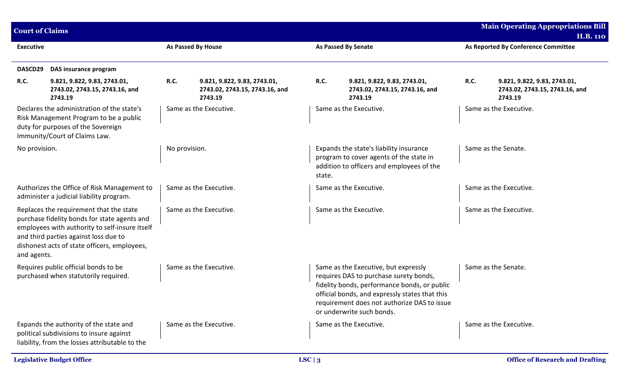| <b>Court of Claims</b> |                                                                                                                                                                                                                                    |                    |                                                                           |             |                                                                                                                                                                                                                                                              | <b>Main Operating Appropriations Bill</b> |                                                                           |  |
|------------------------|------------------------------------------------------------------------------------------------------------------------------------------------------------------------------------------------------------------------------------|--------------------|---------------------------------------------------------------------------|-------------|--------------------------------------------------------------------------------------------------------------------------------------------------------------------------------------------------------------------------------------------------------------|-------------------------------------------|---------------------------------------------------------------------------|--|
|                        |                                                                                                                                                                                                                                    |                    |                                                                           |             |                                                                                                                                                                                                                                                              |                                           | <b>H.B. 110</b>                                                           |  |
| <b>Executive</b>       |                                                                                                                                                                                                                                    | As Passed By House |                                                                           |             | <b>As Passed By Senate</b>                                                                                                                                                                                                                                   |                                           | As Reported By Conference Committee                                       |  |
| DASCD29                | DAS insurance program                                                                                                                                                                                                              |                    |                                                                           |             |                                                                                                                                                                                                                                                              |                                           |                                                                           |  |
| R.C.                   | 9.821, 9.822, 9.83, 2743.01,<br>2743.02, 2743.15, 2743.16, and<br>2743.19                                                                                                                                                          | <b>R.C.</b>        | 9.821, 9.822, 9.83, 2743.01,<br>2743.02, 2743.15, 2743.16, and<br>2743.19 | <b>R.C.</b> | 9.821, 9.822, 9.83, 2743.01,<br>2743.02, 2743.15, 2743.16, and<br>2743.19                                                                                                                                                                                    | R.C.                                      | 9.821, 9.822, 9.83, 2743.01,<br>2743.02, 2743.15, 2743.16, and<br>2743.19 |  |
|                        | Declares the administration of the state's<br>Risk Management Program to be a public<br>duty for purposes of the Sovereign<br>Immunity/Court of Claims Law.                                                                        |                    | Same as the Executive.                                                    |             | Same as the Executive.                                                                                                                                                                                                                                       |                                           | Same as the Executive.                                                    |  |
| No provision.          |                                                                                                                                                                                                                                    | No provision.      |                                                                           | state.      | Expands the state's liability insurance<br>program to cover agents of the state in<br>addition to officers and employees of the                                                                                                                              | Same as the Senate.                       |                                                                           |  |
|                        | Authorizes the Office of Risk Management to<br>administer a judicial liability program.                                                                                                                                            |                    | Same as the Executive.                                                    |             | Same as the Executive.                                                                                                                                                                                                                                       |                                           | Same as the Executive.                                                    |  |
| and agents.            | Replaces the requirement that the state<br>purchase fidelity bonds for state agents and<br>employees with authority to self-insure itself<br>and third parties against loss due to<br>dishonest acts of state officers, employees, |                    | Same as the Executive.                                                    |             | Same as the Executive.                                                                                                                                                                                                                                       |                                           | Same as the Executive.                                                    |  |
|                        | Requires public official bonds to be<br>purchased when statutorily required.                                                                                                                                                       |                    | Same as the Executive.                                                    |             | Same as the Executive, but expressly<br>requires DAS to purchase surety bonds,<br>fidelity bonds, performance bonds, or public<br>official bonds, and expressly states that this<br>requirement does not authorize DAS to issue<br>or underwrite such bonds. |                                           | Same as the Senate.                                                       |  |
|                        | Expands the authority of the state and<br>political subdivisions to insure against<br>liability, from the losses attributable to the                                                                                               |                    | Same as the Executive.                                                    |             | Same as the Executive.                                                                                                                                                                                                                                       |                                           | Same as the Executive.                                                    |  |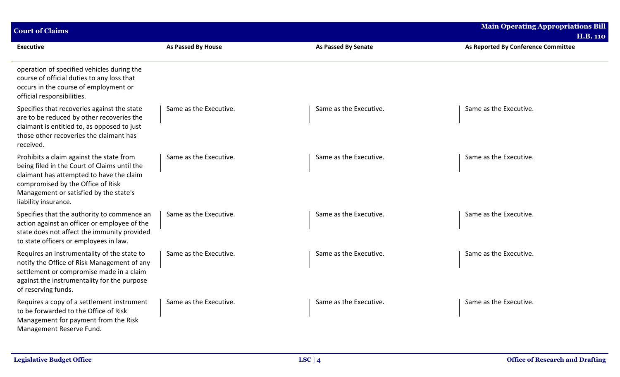| <b>Court of Claims</b>                                                                                                                                                                                                                      |                        |                            | <b>Main Operating Appropriations Bill</b> |
|---------------------------------------------------------------------------------------------------------------------------------------------------------------------------------------------------------------------------------------------|------------------------|----------------------------|-------------------------------------------|
|                                                                                                                                                                                                                                             |                        |                            | <b>H.B. 110</b>                           |
| <b>Executive</b>                                                                                                                                                                                                                            | As Passed By House     | <b>As Passed By Senate</b> | As Reported By Conference Committee       |
| operation of specified vehicles during the<br>course of official duties to any loss that<br>occurs in the course of employment or<br>official responsibilities.                                                                             |                        |                            |                                           |
| Specifies that recoveries against the state<br>are to be reduced by other recoveries the<br>claimant is entitled to, as opposed to just<br>those other recoveries the claimant has<br>received.                                             | Same as the Executive. | Same as the Executive.     | Same as the Executive.                    |
| Prohibits a claim against the state from<br>being filed in the Court of Claims until the<br>claimant has attempted to have the claim<br>compromised by the Office of Risk<br>Management or satisfied by the state's<br>liability insurance. | Same as the Executive. | Same as the Executive.     | Same as the Executive.                    |
| Specifies that the authority to commence an<br>action against an officer or employee of the<br>state does not affect the immunity provided<br>to state officers or employees in law.                                                        | Same as the Executive. | Same as the Executive.     | Same as the Executive.                    |
| Requires an instrumentality of the state to<br>notify the Office of Risk Management of any<br>settlement or compromise made in a claim<br>against the instrumentality for the purpose<br>of reserving funds.                                | Same as the Executive. | Same as the Executive.     | Same as the Executive.                    |
| Requires a copy of a settlement instrument<br>to be forwarded to the Office of Risk<br>Management for payment from the Risk<br>Management Reserve Fund.                                                                                     | Same as the Executive. | Same as the Executive.     | Same as the Executive.                    |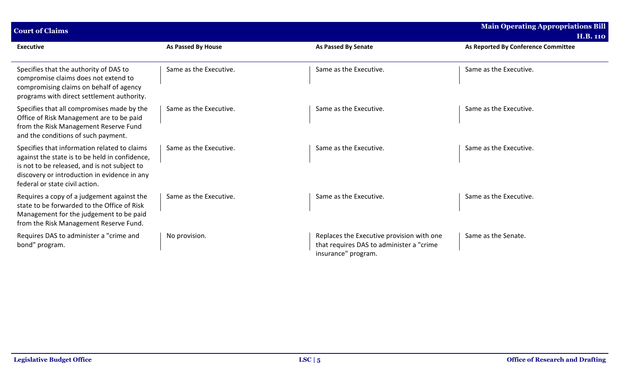| <b>Main Operating Appropriations Bill</b><br><b>Court of Claims</b>                                                                                                                                                              |                        |                                                                                                              |                                     |
|----------------------------------------------------------------------------------------------------------------------------------------------------------------------------------------------------------------------------------|------------------------|--------------------------------------------------------------------------------------------------------------|-------------------------------------|
|                                                                                                                                                                                                                                  |                        |                                                                                                              | <b>H.B. 110</b>                     |
| <b>Executive</b>                                                                                                                                                                                                                 | As Passed By House     | <b>As Passed By Senate</b>                                                                                   | As Reported By Conference Committee |
|                                                                                                                                                                                                                                  |                        |                                                                                                              |                                     |
| Specifies that the authority of DAS to<br>compromise claims does not extend to<br>compromising claims on behalf of agency<br>programs with direct settlement authority.                                                          | Same as the Executive. | Same as the Executive.                                                                                       | Same as the Executive.              |
| Specifies that all compromises made by the<br>Office of Risk Management are to be paid<br>from the Risk Management Reserve Fund<br>and the conditions of such payment.                                                           | Same as the Executive. | Same as the Executive.                                                                                       | Same as the Executive.              |
| Specifies that information related to claims<br>against the state is to be held in confidence,<br>is not to be released, and is not subject to<br>discovery or introduction in evidence in any<br>federal or state civil action. | Same as the Executive. | Same as the Executive.                                                                                       | Same as the Executive.              |
| Requires a copy of a judgement against the<br>state to be forwarded to the Office of Risk<br>Management for the judgement to be paid<br>from the Risk Management Reserve Fund.                                                   | Same as the Executive. | Same as the Executive.                                                                                       | Same as the Executive.              |
| Requires DAS to administer a "crime and<br>bond" program.                                                                                                                                                                        | No provision.          | Replaces the Executive provision with one<br>that requires DAS to administer a "crime<br>insurance" program. | Same as the Senate.                 |